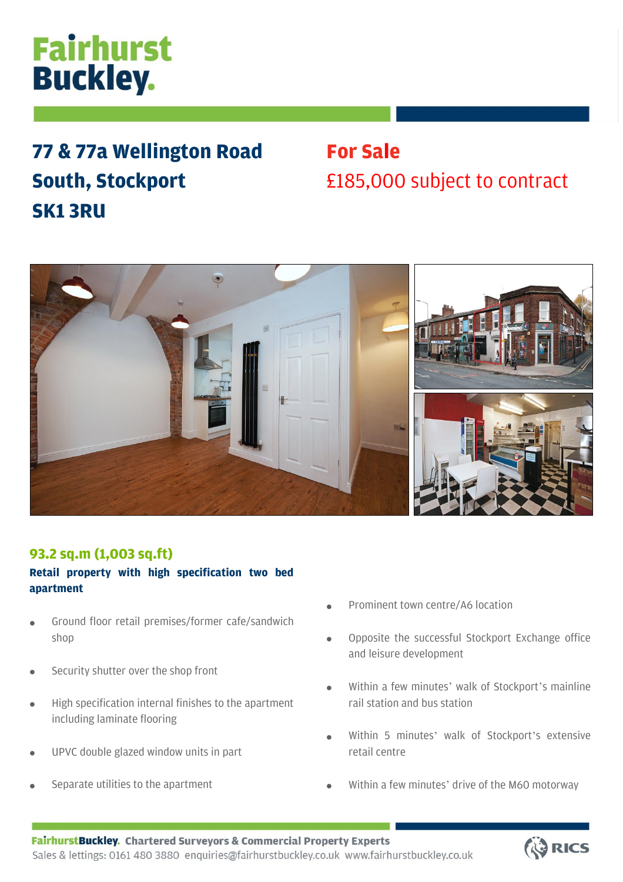# **Fairhurst Buckley.**

## **77 & 77a Wellington Road South, Stockport SK1 3RU**

## **For Sale** £185,000 subject to contract



### **93.2 sq.m (1,003 sq.ft)**

### **Retail property with high specification two bed apartment**

- Ground floor retail premises/former cafe/sandwich shop
- Security shutter over the shop front
- High specification internal finishes to the apartment including laminate flooring
- UPVC double glazed window units in part
- Separate utilities to the apartment

•

- Prominent town centre/A6 location
- Opposite the successful Stockport Exchange office and leisure development
- Within a few minutes' walk of Stockport's mainline rail station and bus station
- Within 5 minutes' walk of Stockport's extensive retail centre
- Within a few minutes' drive of the M60 motorway

•

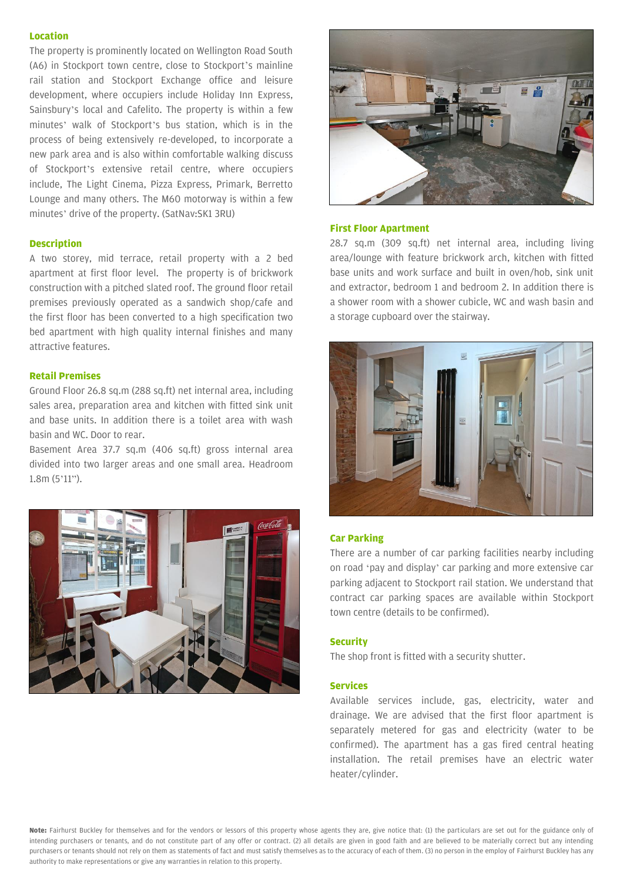#### **Location**

The property is prominently located on Wellington Road South (A6) in Stockport town centre, close to Stockport's mainline rail station and Stockport Exchange office and leisure development, where occupiers include Holiday Inn Express, Sainsbury's local and Cafelito. The property is within a few minutes' walk of Stockport's bus station, which is in the process of being extensively re-developed, to incorporate a new park area and is also within comfortable walking discuss of Stockport's extensive retail centre, where occupiers include, The Light Cinema, Pizza Express, Primark, Berretto Lounge and many others. The M60 motorway is within a few minutes' drive of the property. (SatNav:SK1 3RU)

#### **Description**

A two storey, mid terrace, retail property with a 2 bed apartment at first floor level. The property is of brickwork construction with a pitched slated roof. The ground floor retail premises previously operated as a sandwich shop/cafe and the first floor has been converted to a high specification two bed apartment with high quality internal finishes and many attractive features.

#### **Retail Premises**

Ground Floor 26.8 sq.m (288 sq.ft) net internal area, including sales area, preparation area and kitchen with fitted sink unit and base units. In addition there is a toilet area with wash basin and WC. Door to rear.

Basement Area 37.7 sq.m (406 sq.ft) gross internal area divided into two larger areas and one small area. Headroom 1.8m (5'11").





#### **First Floor Apartment**

28.7 sq.m (309 sq.ft) net internal area, including living area/lounge with feature brickwork arch, kitchen with fitted base units and work surface and built in oven/hob, sink unit and extractor, bedroom 1 and bedroom 2. In addition there is a shower room with a shower cubicle, WC and wash basin and a storage cupboard over the stairway.



#### **Car Parking**

There are a number of car parking facilities nearby including on road 'pay and display' car parking and more extensive car parking adjacent to Stockport rail station. We understand that contract car parking spaces are available within Stockport town centre (details to be confirmed).

#### **Security**

The shop front is fitted with a security shutter.

#### **Services**

Available services include, gas, electricity, water and drainage. We are advised that the first floor apartment is separately metered for gas and electricity (water to be confirmed). The apartment has a gas fired central heating installation. The retail premises have an electric water heater/cylinder.

**Note:** Fairhurst Buckley for themselves and for the vendors or lessors of this property whose agents they are, give notice that: (1) the particulars are set out for the guidance only of intending purchasers or tenants, and do not constitute part of any offer or contract. (2) all details are given in good faith and are believed to be materially correct but any intending purchasers or tenants should not rely on them as statements of fact and must satisfy themselves as to the accuracy of each of them. (3) no person in the employ of Fairhurst Buckley has any authority to make representations or give any warranties in relation to this property.